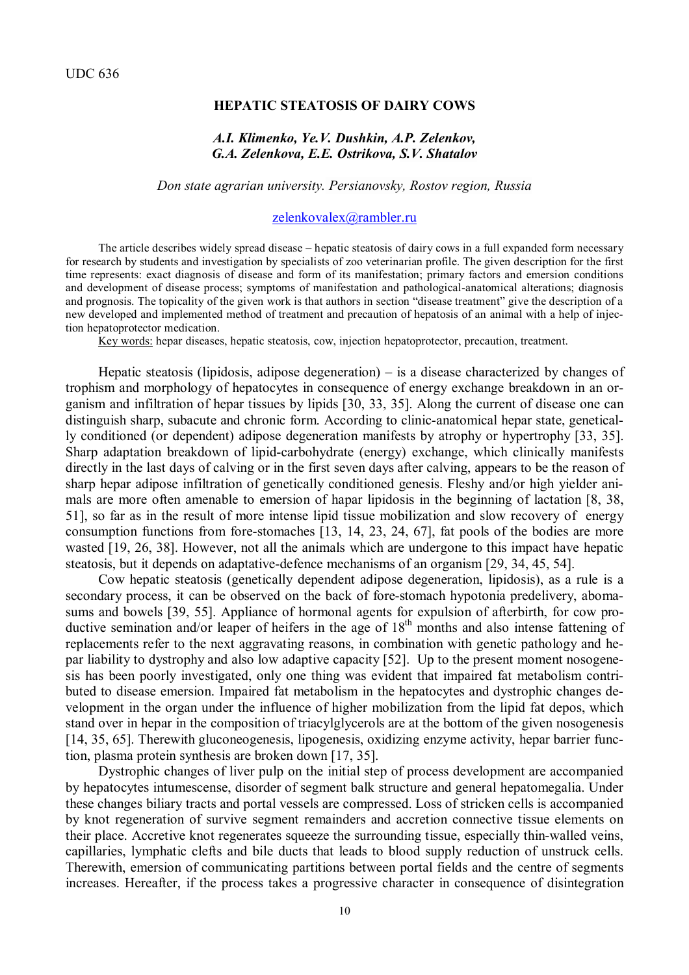### **HEPATIC STEATOSIS OF DAIRY COWS**

## *A.I. Klimenko, Ye.V. Dushkin, A.P. Zelenkov, G.A. Zelenkova, E.E. Ostrikova, S.V. Shatalov*

### *Don state agrarian university. Persianovsky, Rostov region, Russia*

#### [zelenkovalex@rambler.ru](mailto:zelenkovalex@rambler.ru)

The article describes widely spread disease – hepatic steatosis of dairy cows in a full expanded form necessary for research by students and investigation by specialists of zoo veterinarian profile. The given description for the first time represents: exact diagnosis of disease and form of its manifestation; primary factors and emersion conditions and development of disease process; symptoms of manifestation and pathological-anatomical alterations; diagnosis and prognosis. The topicality of the given work is that authors in section "disease treatment" give the description of a new developed and implemented method of treatment and precaution of hepatosis of an animal with a help of injection hepatoprotector medication.

Key words: hepar diseases, hepatic steatosis, cow, injection hepatoprotector, precaution, treatment.

Hepatic steatosis (lipidosis, adipose degeneration) – is a disease characterized by changes of trophism and morphology of hepatocytes in consequence of energy exchange breakdown in an organism and infiltration of hepar tissues by lipids [30, 33, 35]. Along the current of disease one can distinguish sharp, subacute and chronic form. According to clinic-anatomical hepar state, genetically conditioned (or dependent) adipose degeneration manifests by atrophy or hypertrophy [33, 35]. Sharp adaptation breakdown of lipid-carbohydrate (energy) exchange, which clinically manifests directly in the last days of calving or in the first seven days after calving, appears to be the reason of sharp hepar adipose infiltration of genetically conditioned genesis. Fleshy and/or high yielder animals are more often amenable to emersion of hapar lipidosis in the beginning of lactation [8, 38, 51], so far as in the result of more intense lipid tissue mobilization and slow recovery of energy consumption functions from fore-stomaches [13, 14, 23, 24, 67], fat pools of the bodies are more wasted [19, 26, 38]. However, not all the animals which are undergone to this impact have hepatic steatosis, but it depends on adaptative-defence mechanisms of an organism [29, 34, 45, 54].

Cow hepatic steatosis (genetically dependent adipose degeneration, lipidosis), as a rule is a secondary process, it can be observed on the back of fore-stomach hypotonia predelivery, abomasums and bowels [39, 55]. Appliance of hormonal agents for expulsion of afterbirth, for cow productive semination and/or leaper of heifers in the age of 18<sup>th</sup> months and also intense fattening of replacements refer to the next aggravating reasons, in combination with genetic pathology and hepar liability to dystrophy and also low adaptive capacity [52]. Up to the present moment nosogenesis has been poorly investigated, only one thing was evident that impaired fat metabolism contributed to disease emersion. Impaired fat metabolism in the hepatocytes and dystrophic changes development in the organ under the influence of higher mobilization from the lipid fat depos, which stand over in hepar in the composition of triacylglycerols are at the bottom of the given nosogenesis [14, 35, 65]. Therewith gluconeogenesis, lipogenesis, oxidizing enzyme activity, hepar barrier function, plasma protein synthesis are broken down [17, 35].

Dystrophic changes of liver pulp on the initial step of process development are accompanied by hepatocytes intumescense, disorder of segment balk structure and general hepatomegalia. Under these changes biliary tracts and portal vessels are compressed. Loss of stricken cells is accompanied by knot regeneration of survive segment remainders and accretion connective tissue elements on their place. Accretive knot regenerates squeeze the surrounding tissue, especially thin-walled veins, capillaries, lymphatic clefts and bile ducts that leads to blood supply reduction of unstruck cells. Therewith, emersion of communicating partitions between portal fields and the centre of segments increases. Hereafter, if the process takes a progressive character in consequence of disintegration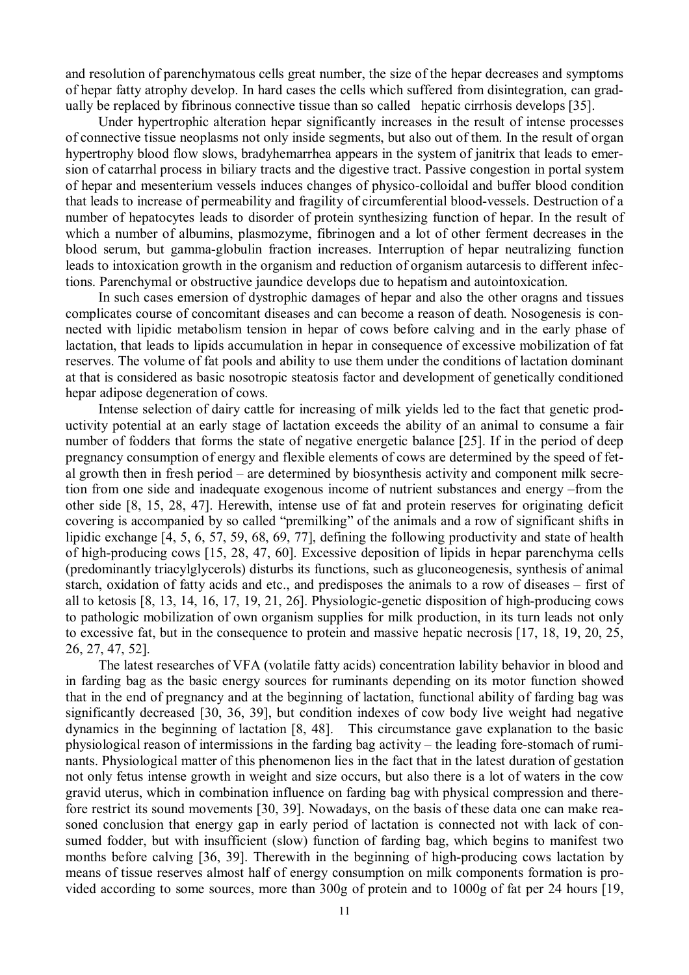and resolution of parenchymatous cells great number, the size of the hepar decreases and symptoms of hepar fatty atrophy develop. In hard cases the cells which suffered from disintegration, can gradually be replaced by fibrinous connective tissue than so called hepatic cirrhosis develops [35].

Under hypertrophic alteration hepar significantly increases in the result of intense processes of connective tissue neoplasms not only inside segments, but also out of them. In the result of organ hypertrophy blood flow slows, bradyhemarrhea appears in the system of janitrix that leads to emersion of catarrhal process in biliary tracts and the digestive tract. Passive congestion in portal system of hepar and mesenterium vessels induces changes of physico-colloidal and buffer blood condition that leads to increase of permeability and fragility of circumferential blood-vessels. Destruction of a number of hepatocytes leads to disorder of protein synthesizing function of hepar. In the result of which a number of albumins, plasmozyme, fibrinogen and a lot of other ferment decreases in the blood serum, but gamma-globulin fraction increases. Interruption of hepar neutralizing function leads to intoxication growth in the organism and reduction of organism autarcesis to different infections. Parenchymal or obstructive jaundice develops due to hepatism and autointoxication.

In such cases emersion of dystrophic damages of hepar and also the other oragns and tissues complicates course of concomitant diseases and can become a reason of death. Nosogenesis is connected with lipidic metabolism tension in hepar of cows before calving and in the early phase of lactation, that leads to lipids accumulation in hepar in consequence of excessive mobilization of fat reserves. The volume of fat pools and ability to use them under the conditions of lactation dominant at that is considered as basic nosotropic steatosis factor and development of genetically conditioned hepar adipose degeneration of cows.

Intense selection of dairy cattle for increasing of milk yields led to the fact that genetic productivity potential at an early stage of lactation exceeds the ability of an animal to consume a fair number of fodders that forms the state of negative energetic balance [25]. If in the period of deep pregnancy consumption of energy and flexible elements of cows are determined by the speed of fetal growth then in fresh period – are determined by biosynthesis activity and component milk secretion from one side and inadequate exogenous income of nutrient substances and energy –from the other side [8, 15, 28, 47]. Herewith, intense use of fat and protein reserves for originating deficit covering is accompanied by so called "premilking" of the animals and a row of significant shifts in lipidic exchange [4, 5, 6, 57, 59, 68, 69, 77], defining the following productivity and state of health of high-producing cows [15, 28, 47, 60]. Excessive deposition of lipids in hepar parenchyma cells (predominantly triacylglycerols) disturbs its functions, such as gluconeogenesis, synthesis of animal starch, oxidation of fatty acids and etc., and predisposes the animals to a row of diseases – first of all to ketosis [8, 13, 14, 16, 17, 19, 21, 26]. Physiologic-genetic disposition of high-producing cows to pathologic mobilization of own organism supplies for milk production, in its turn leads not only to excessive fat, but in the consequence to protein and massive hepatic necrosis [17, 18, 19, 20, 25, 26, 27, 47, 52].

The latest researches of VFA (volatile fatty acids) concentration lability behavior in blood and in farding bag as the basic energy sources for ruminants depending on its motor function showed that in the end of pregnancy and at the beginning of lactation, functional ability of farding bag was significantly decreased [30, 36, 39], but condition indexes of cow body live weight had negative dynamics in the beginning of lactation [8, 48]. This circumstance gave explanation to the basic physiological reason of intermissions in the farding bag activity – the leading fore-stomach of ruminants. Physiological matter of this phenomenon lies in the fact that in the latest duration of gestation not only fetus intense growth in weight and size occurs, but also there is a lot of waters in the cow gravid uterus, which in combination influence on farding bag with physical compression and therefore restrict its sound movements [30, 39]. Nowadays, on the basis of these data one can make reasoned conclusion that energy gap in early period of lactation is connected not with lack of consumed fodder, but with insufficient (slow) function of farding bag, which begins to manifest two months before calving [36, 39]. Therewith in the beginning of high-producing cows lactation by means of tissue reserves almost half of energy consumption on milk components formation is provided according to some sources, more than 300g of protein and to 1000g of fat per 24 hours [19,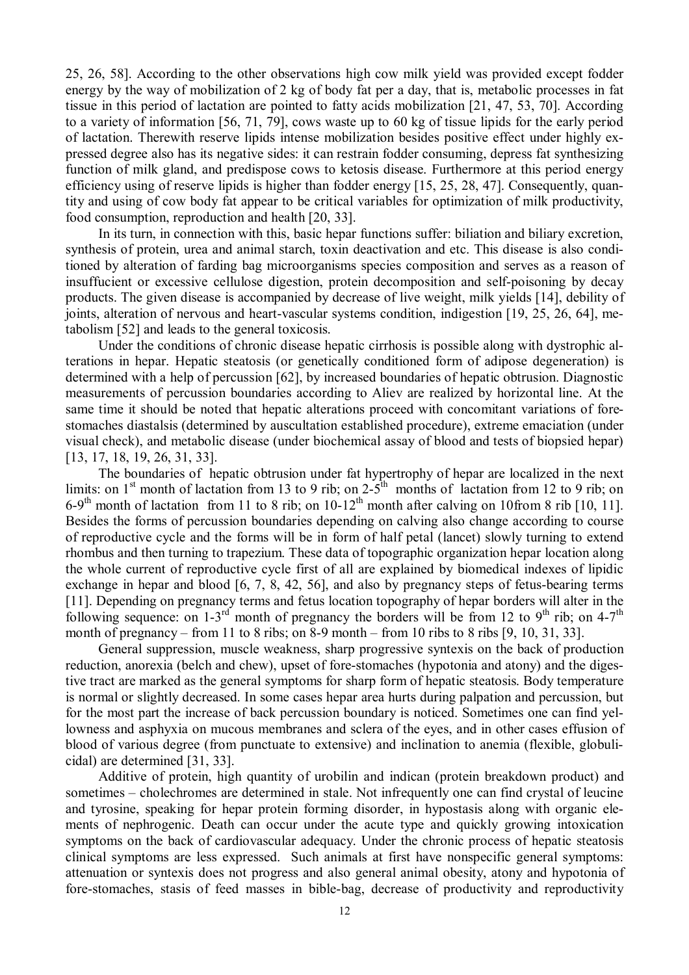25, 26, 58]. According to the other observations high cow milk yield was provided except fodder energy by the way of mobilization of 2 kg of body fat per a day, that is, metabolic processes in fat tissue in this period of lactation are pointed to fatty acids mobilization [21, 47, 53, 70]. According to a variety of information [56, 71, 79], cows waste up to 60 kg of tissue lipids for the early period of lactation. Therewith reserve lipids intense mobilization besides positive effect under highly expressed degree also has its negative sides: it can restrain fodder consuming, depress fat synthesizing function of milk gland, and predispose cows to ketosis disease. Furthermore at this period energy efficiency using of reserve lipids is higher than fodder energy [15, 25, 28, 47]. Consequently, quantity and using of cow body fat appear to be critical variables for optimization of milk productivity, food consumption, reproduction and health [20, 33].

In its turn, in connection with this, basic hepar functions suffer: biliation and biliary excretion, synthesis of protein, urea and animal starch, toxin deactivation and etc. This disease is also conditioned by alteration of farding bag microorganisms species composition and serves as a reason of insuffucient or excessive cellulose digestion, protein decomposition and self-poisoning by decay products. The given disease is accompanied by decrease of live weight, milk yields [14], debility of joints, alteration of nervous and heart-vascular systems condition, indigestion [19, 25, 26, 64], metabolism [52] and leads to the general toxicosis.

Under the conditions of chronic disease hepatic cirrhosis is possible along with dystrophic alterations in hepar. Hepatic steatosis (or genetically conditioned form of adipose degeneration) is determined with a help of percussion [62], by increased boundaries of hepatic obtrusion. Diagnostic measurements of percussion boundaries according to Aliev are realized by horizontal line. At the same time it should be noted that hepatic alterations proceed with concomitant variations of forestomaches diastalsis (determined by auscultation established procedure), extreme emaciation (under visual check), and metabolic disease (under biochemical assay of blood and tests of biopsied hepar) [13, 17, 18, 19, 26, 31, 33].

The boundaries of hepatic obtrusion under fat hypertrophy of hepar are localized in the next limits: on 1<sup>st</sup> month of lactation from 13 to 9 rib; on  $2\text{-}5^{\text{th}}$  months of lactation from 12 to 9 rib; on 6-9<sup>th</sup> month of lactation from 11 to 8 rib; on  $10-12^{th}$  month after calving on 10from 8 rib [10, 11]. Besides the forms of percussion boundaries depending on calving also change according to course of reproductive cycle and the forms will be in form of half petal (lancet) slowly turning to extend rhombus and then turning to trapezium. These data of topographic organization hepar location along the whole current of reproductive cycle first of all are explained by biomedical indexes of lipidic exchange in hepar and blood [6, 7, 8, 42, 56], and also by pregnancy steps of fetus-bearing terms [11]. Depending on pregnancy terms and fetus location topography of hepar borders will alter in the following sequence: on  $1-3^{rd}$  month of pregnancy the borders will be from 12 to 9<sup>th</sup> rib; on 4-7<sup>th</sup> month of pregnancy – from 11 to 8 ribs; on 8-9 month – from 10 ribs to 8 ribs [9, 10, 31, 33].

General suppression, muscle weakness, sharp progressive syntexis on the back of production reduction, anorexia (belch and chew), upset of fore-stomaches (hypotonia and atony) and the digestive tract are marked as the general symptoms for sharp form of hepatic steatosis. Body temperature is normal or slightly decreased. In some cases hepar area hurts during palpation and percussion, but for the most part the increase of back percussion boundary is noticed. Sometimes one can find yellowness and asphyxia on mucous membranes and sclera of the eyes, and in other cases effusion of blood of various degree (from punctuate to extensive) and inclination to anemia (flexible, globulicidal) are determined [31, 33].

Additive of protein, high quantity of urobilin and indican (protein breakdown product) and sometimes – cholechromes are determined in stale. Not infrequently one can find crystal of leucine and tyrosine, speaking for hepar protein forming disorder, in hypostasis along with organic elements of nephrogenic. Death can occur under the acute type and quickly growing intoxication symptoms on the back of cardiovascular adequacy. Under the chronic process of hepatic steatosis clinical symptoms are less expressed. Such animals at first have nonspecific general symptoms: attenuation or syntexis does not progress and also general animal obesity, atony and hypotonia of fore-stomaches, stasis of feed masses in bible-bag, decrease of productivity and reproductivity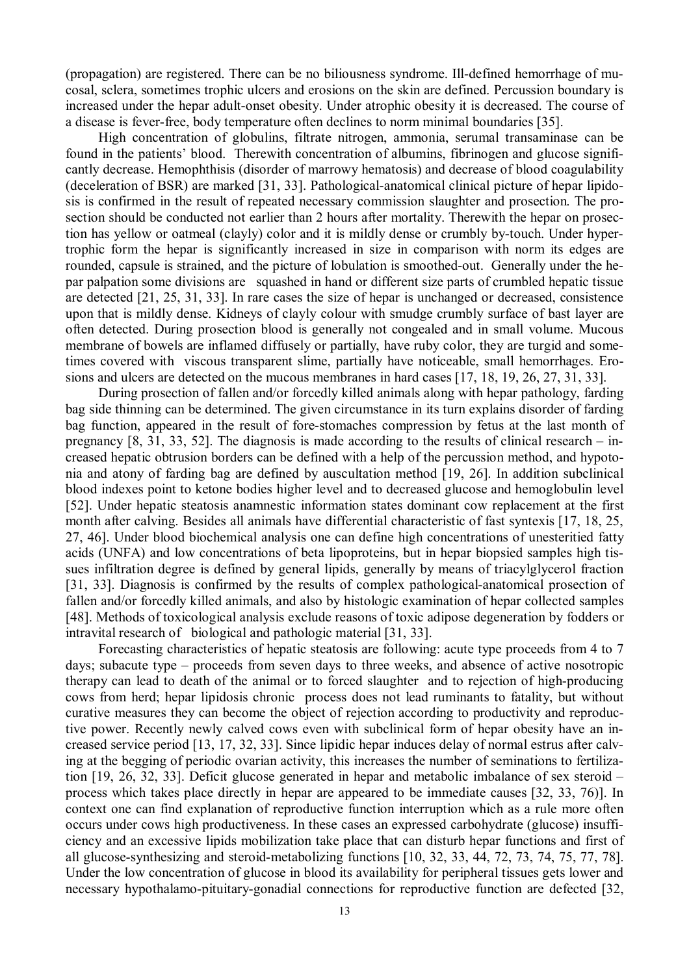(propagation) are registered. There can be no biliousness syndrome. Ill-defined hemorrhage of mucosal, sclera, sometimes trophic ulcers and erosions on the skin are defined. Percussion boundary is increased under the hepar adult-onset obesity. Under atrophic obesity it is decreased. The course of a disease is fever-free, body temperature often declines to norm minimal boundaries [35].

High concentration of globulins, filtrate nitrogen, ammonia, serumal transaminase can be found in the patients' blood. Therewith concentration of albumins, fibrinogen and glucose significantly decrease. Hemophthisis (disorder of marrowy hematosis) and decrease of blood coagulability (deceleration of BSR) are marked [31, 33]. Pathological-anatomical clinical picture of hepar lipidosis is confirmed in the result of repeated necessary commission slaughter and prosection. The prosection should be conducted not earlier than 2 hours after mortality. Therewith the hepar on prosection has yellow or oatmeal (clayly) color and it is mildly dense or crumbly by-touch. Under hypertrophic form the hepar is significantly increased in size in comparison with norm its edges are rounded, capsule is strained, and the picture of lobulation is smoothed-out. Generally under the hepar palpation some divisions are squashed in hand or different size parts of crumbled hepatic tissue are detected [21, 25, 31, 33]. In rare cases the size of hepar is unchanged or decreased, consistence upon that is mildly dense. Kidneys of clayly colour with smudge crumbly surface of bast layer are often detected. During prosection blood is generally not congealed and in small volume. Mucous membrane of bowels are inflamed diffusely or partially, have ruby color, they are turgid and sometimes covered with viscous transparent slime, partially have noticeable, small hemorrhages. Erosions and ulcers are detected on the mucous membranes in hard cases [17, 18, 19, 26, 27, 31, 33].

During prosection of fallen and/or forcedly killed animals along with hepar pathology, farding bag side thinning can be determined. The given circumstance in its turn explains disorder of farding bag function, appeared in the result of fore-stomaches compression by fetus at the last month of pregnancy  $[8, 31, 33, 52]$ . The diagnosis is made according to the results of clinical research – increased hepatic obtrusion borders can be defined with a help of the percussion method, and hypotonia and atony of farding bag are defined by auscultation method [19, 26]. In addition subclinical blood indexes point to ketone bodies higher level and to decreased glucose and hemoglobulin level [52]. Under hepatic steatosis anamnestic information states dominant cow replacement at the first month after calving. Besides all animals have differential characteristic of fast syntexis [17, 18, 25, 27, 46]. Under blood biochemical analysis one can define high concentrations of unesteritied fatty acids (UNFA) and low concentrations of beta lipoproteins, but in hepar biopsied samples high tissues infiltration degree is defined by general lipids, generally by means of triacylglycerol fraction [31, 33]. Diagnosis is confirmed by the results of complex pathological-anatomical prosection of fallen and/or forcedly killed animals, and also by histologic examination of hepar collected samples [48]. Methods of toxicological analysis exclude reasons of toxic adipose degeneration by fodders or intravital research of biological and pathologic material [31, 33].

Forecasting characteristics of hepatic steatosis are following: acute type proceeds from 4 to 7 days; subacute type – proceeds from seven days to three weeks, and absence of active nosotropic therapy can lead to death of the animal or to forced slaughter and to rejection of high-producing cows from herd; hepar lipidosis chronic process does not lead ruminants to fatality, but without curative measures they can become the object of rejection according to productivity and reproductive power. Recently newly calved cows even with subclinical form of hepar obesity have an increased service period [13, 17, 32, 33]. Since lipidic hepar induces delay of normal estrus after calving at the begging of periodic ovarian activity, this increases the number of seminations to fertilization [19, 26, 32, 33]. Deficit glucose generated in hepar and metabolic imbalance of sex steroid – process which takes place directly in hepar are appeared to be immediate causes [32, 33, 76)]. In context one can find explanation of reproductive function interruption which as a rule more often occurs under cows high productiveness. In these cases an expressed carbohydrate (glucose) insufficiency and an excessive lipids mobilization take place that can disturb hepar functions and first of all glucose-synthesizing and steroid-metabolizing functions [10, 32, 33, 44, 72, 73, 74, 75, 77, 78]. Under the low concentration of glucose in blood its availability for peripheral tissues gets lower and necessary hypothalamo-pituitary-gonadial connections for reproductive function are defected [32,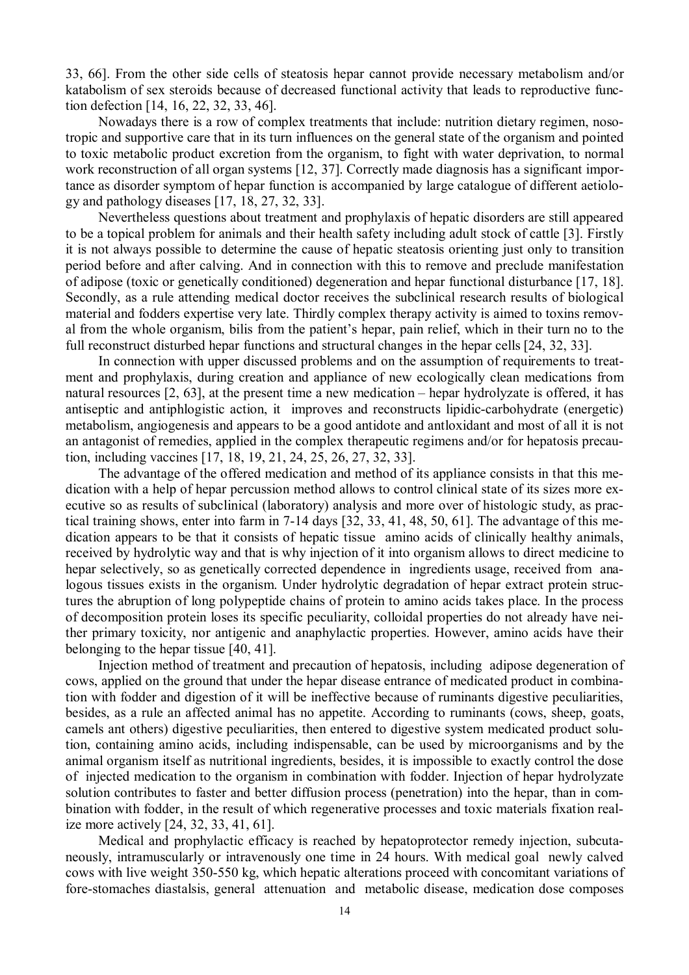33, 66]. From the other side cells of steatosis hepar cannot provide necessary metabolism and/or katabolism of sex steroids because of decreased functional activity that leads to reproductive function defection [14, 16, 22, 32, 33, 46].

Nowadays there is a row of complex treatments that include: nutrition dietary regimen, nosotropic and supportive care that in its turn influences on the general state of the organism and pointed to toxic metabolic product excretion from the organism, to fight with water deprivation, to normal work reconstruction of all organ systems [12, 37]. Correctly made diagnosis has a significant importance as disorder symptom of hepar function is accompanied by large catalogue of different aetiology and pathology diseases [17, 18, 27, 32, 33].

Nevertheless questions about treatment and prophylaxis of hepatic disorders are still appeared to be a topical problem for animals and their health safety including adult stock of cattle [3]. Firstly it is not always possible to determine the cause of hepatic steatosis orienting just only to transition period before and after calving. And in connection with this to remove and preclude manifestation of adipose (toxic or genetically conditioned) degeneration and hepar functional disturbance [17, 18]. Secondly, as a rule attending medical doctor receives the subclinical research results of biological material and fodders expertise very late. Thirdly complex therapy activity is aimed to toxins removal from the whole organism, bilis from the patient's hepar, pain relief, which in their turn no to the full reconstruct disturbed hepar functions and structural changes in the hepar cells [24, 32, 33].

In connection with upper discussed problems and on the assumption of requirements to treatment and prophylaxis, during creation and appliance of new ecologically clean medications from natural resources [2, 63], at the present time a new medication – hepar hydrolyzate is offered, it has antiseptic and antiphlogistic action, it improves and reconstructs lipidic-carbohydrate (energetic) metabolism, angiogenesis and appears to be a good antidote and antloxidant and most of all it is not an antagonist of remedies, applied in the complex therapeutic regimens and/or for hepatosis precaution, including vaccines [17, 18, 19, 21, 24, 25, 26, 27, 32, 33].

The advantage of the offered medication and method of its appliance consists in that this medication with a help of hepar percussion method allows to control clinical state of its sizes more executive so as results of subclinical (laboratory) analysis and more over of histologic study, as practical training shows, enter into farm in 7-14 days [32, 33, 41, 48, 50, 61]. The advantage of this medication appears to be that it consists of hepatic tissue amino acids of clinically healthy animals, received by hydrolytic way and that is why injection of it into organism allows to direct medicine to hepar selectively, so as genetically corrected dependence in ingredients usage, received from analogous tissues exists in the organism. Under hydrolytic degradation of hepar extract protein structures the abruption of long polypeptide chains of protein to amino acids takes place. In the process of decomposition protein loses its specific peculiarity, colloidal properties do not already have neither primary toxicity, nor antigenic and anaphylactic properties. However, amino acids have their belonging to the hepar tissue [40, 41].

Injection method of treatment and precaution of hepatosis, including adipose degeneration of cows, applied on the ground that under the hepar disease entrance of medicated product in combination with fodder and digestion of it will be ineffective because of ruminants digestive peculiarities, besides, as a rule an affected animal has no appetite. According to ruminants (cows, sheep, goats, camels ant others) digestive peculiarities, then entered to digestive system medicated product solution, containing amino acids, including indispensable, can be used by microorganisms and by the animal organism itself as nutritional ingredients, besides, it is impossible to exactly control the dose of injected medication to the organism in combination with fodder. Injection of hepar hydrolyzate solution contributes to faster and better diffusion process (penetration) into the hepar, than in combination with fodder, in the result of which regenerative processes and toxic materials fixation realize more actively [24, 32, 33, 41, 61].

Medical and prophylactic efficacy is reached by hepatoprotector remedy injection, subcutaneously, intramuscularly or intravenously one time in 24 hours. With medical goal newly calved cows with live weight 350-550 kg, which hepatic alterations proceed with concomitant variations of fore-stomaches diastalsis, general attenuation and metabolic disease, medication dose composes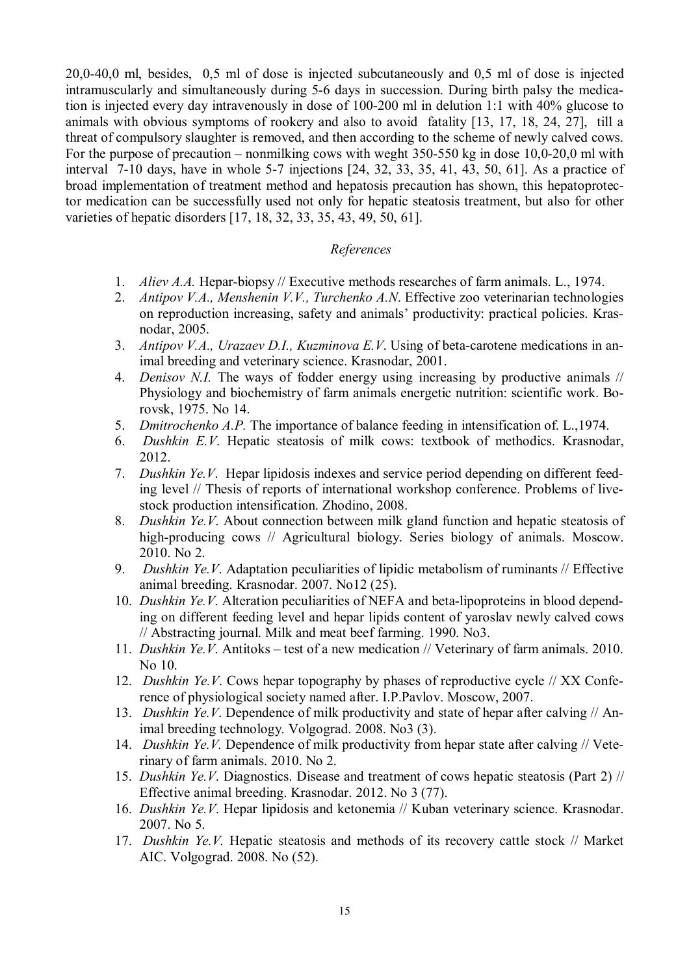20,0-40,0 ml, besides, 0,5 ml of dose is injected subcutaneously and 0,5 ml of dose is injected intramuscularly and simultaneously during 5-6 days in succession. During birth palsy the medication is injected every day intravenously in dose of 100-200 ml in delution 1:1 with 40% glucose to animals with obvious symptoms of rookery and also to avoid fatality [13, 17, 18, 24, 27], till a threat of compulsory slaughter is removed, and then according to the scheme of newly calved cows. For the purpose of precaution – nonmilking cows with weght 350-550 kg in dose 10,0-20,0 ml with interval 7-10 days, have in whole 5-7 injections [24, 32, 33, 35, 41, 43, 50, 61]. As a practice of broad implementation of treatment method and hepatosis precaution has shown, this hepatoprotector medication can be successfully used not only for hepatic steatosis treatment, but also for other varieties of hepatic disorders [17, 18, 32, 33, 35, 43, 49, 50, 61].

# *References*

- 1. *Aliev A.A.* Hepar-biopsy // Executive methods researches of farm animals. L., 1974.
- 2. *Antipov V.A., Menshenin V.V., Turchenko A.N*. Effective zoo veterinarian technologies on reproduction increasing, safety and animals' productivity: practical policies. Krasnodar, 2005.
- 3. *Antipov V.A., Urazaev D.I., Kuzminova E.V*. Using of beta-carotene medications in animal breeding and veterinary science. Krasnodar, 2001.
- 4. *Denisov N.I.* The ways of fodder energy using increasing by productive animals // Physiology and biochemistry of farm animals energetic nutrition: scientific work. Borovsk, 1975. No 14.
- 5. *Dmitrochenko A.P.* The importance of balance feeding in intensification of. L.,1974.
- 6. *Dushkin E.V*. Hepatic steatosis of milk cows: textbook of methodics. Krasnodar, 2012.
- 7. *Dushkin Ye.V*. Hepar lipidosis indexes and service period depending on different feeding level // Thesis of reports of international workshop conference. Problems of livestock production intensification. Zhodino, 2008.
- 8. *Dushkin Ye.V*. About connection between milk gland function and hepatic steatosis of high-producing cows // Agricultural biology. Series biology of animals. Moscow. 2010. No 2.
- 9. *Dushkin Ye.V*. Adaptation peculiarities of lipidic metabolism of ruminants // Effective animal breeding. Krasnodar. 2007. No12 (25).
- 10. *Dushkin Ye.V*. Alteration peculiarities of NEFA and beta-lipoproteins in blood depending on different feeding level and hepar lipids content of yaroslav newly calved cows // Abstracting journal. Milk and meat beef farming. 1990. No3.
- 11. *Dushkin Ye.V*. Antitoks test of a new medication // Veterinary of farm animals. 2010. No 10.
- 12. *Dushkin Ye.V.* Cows hepar topography by phases of reproductive cycle // XX Conference of physiological society named after. I.P.Pavlov. Moscow, 2007.
- 13. *Dushkin Ye.V*. Dependence of milk productivity and state of hepar after calving // Animal breeding technology. Volgograd. 2008. No3 (3).
- 14. *Dushkin Ye.V.* Dependence of milk productivity from hepar state after calving // Veterinary of farm animals. 2010. No 2.
- 15. *Dushkin Ye.V*. Diagnostics. Disease and treatment of cows hepatic steatosis (Part 2) // Effective animal breeding. Krasnodar. 2012. No 3 (77).
- 16. *Dushkin Ye.V*. Hepar lipidosis and ketonemia // Kuban veterinary science. Krasnodar. 2007. No 5.
- 17. *Dushkin Ye.V.* Hepatic steatosis and methods of its recovery cattle stock // Market AIC. Volgograd. 2008. No (52).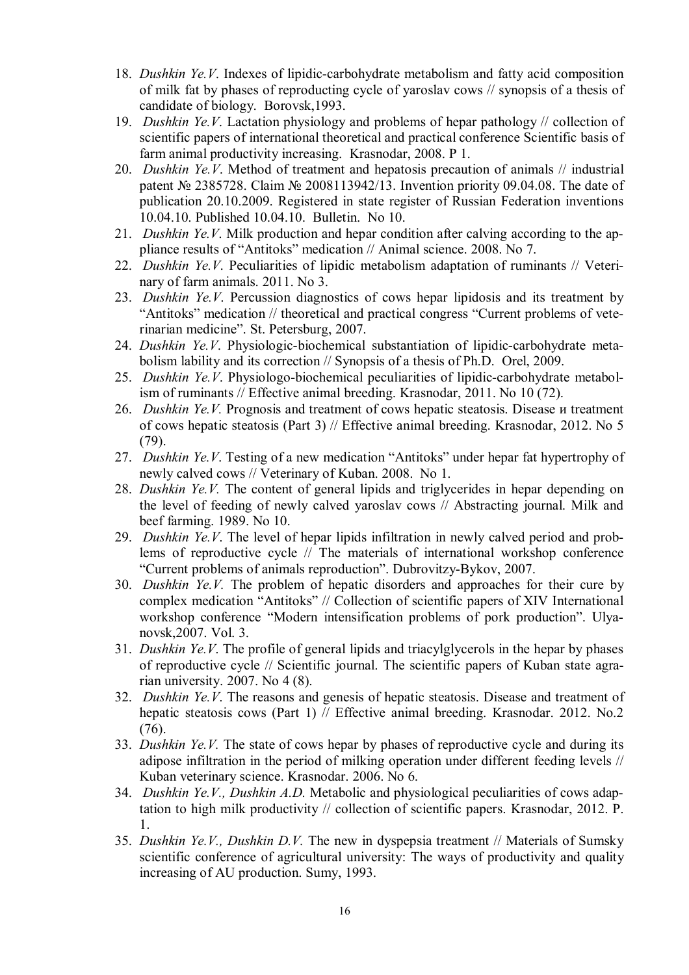- 18. *Dushkin Ye.V*. Indexes of lipidic-carbohydrate metabolism and fatty acid composition of milk fat by phases of reproducting cycle of yaroslav cows // synopsis of a thesis of candidate of biology. Borovsk,1993.
- 19. *Dushkin Ye.V*. Lactation physiology and problems of hepar pathology // collection of scientific papers of international theoretical and practical conference Scientific basis of farm animal productivity increasing. Krasnodar, 2008. P 1.
- 20. *Dushkin Ye.V*. Method of treatment and hepatosis precaution of animals // industrial patent № 2385728. Claim № 2008113942/13. Invention priority 09.04.08. The date of publication 20.10.2009. Registered in state register of Russian Federation inventions 10.04.10. Published 10.04.10. Bulletin. No 10.
- 21. *Dushkin Ye.V*. Milk production and hepar condition after calving according to the appliance results of "Antitoks" medication // Animal science. 2008. No 7.
- 22. *Dushkin Ye.V*. Peculiarities of lipidic metabolism adaptation of ruminants // Veterinary of farm animals. 2011. No 3.
- 23. *Dushkin Ye.V*. Percussion diagnostics of cows hepar lipidosis and its treatment by "Antitoks" medication // theoretical and practical congress "Current problems of veterinarian medicine". St. Petersburg, 2007.
- 24. *Dushkin Ye.V*. Physiologic-biochemical substantiation of lipidic-carbohydrate metabolism lability and its correction // Synopsis of a thesis of Ph.D. Orel, 2009.
- 25. *Dushkin Ye.V*. Physiologo-biochemical peculiarities of lipidic-carbohydrate metabolism of ruminants // Effective animal breeding. Krasnodar, 2011. No 10 (72).
- 26. *Dushkin Ye.V.* Prognosis and treatment of cows hepatic steatosis. Disease и treatment of cows hepatic steatosis (Part 3) // Effective animal breeding. Krasnodar, 2012. No 5 (79).
- 27. *Dushkin Ye.V*. Testing of a new medication "Antitoks" under hepar fat hypertrophy of newly calved cows // Veterinary of Kuban. 2008. No 1.
- 28. *Dushkin Ye.V.* The content of general lipids and triglycerides in hepar depending on the level of feeding of newly calved yaroslav cows // Abstracting journal. Milk and beef farming. 1989. No 10.
- 29. *Dushkin Ye.V*. The level of hepar lipids infiltration in newly calved period and problems of reproductive cycle // The materials of international workshop conference "Current problems of animals reproduction". Dubrovitzy-Bykov, 2007.
- 30. *Dushkin Ye.V.* The problem of hepatic disorders and approaches for their cure by complex medication "Antitoks" // Collection of scientific papers of ХIV International workshop conference "Modern intensification problems of pork production". Ulyanovsk,2007. Vol. 3.
- 31. *Dushkin Ye.V*. The profile of general lipids and triacylglycerols in the hepar by phases of reproductive cycle // Scientific journal. The scientific papers of Kuban state agrarian university. 2007. No 4 (8).
- 32. *Dushkin Ye.V*. The reasons and genesis of hepatic steatosis. Disease and treatment of hepatic steatosis cows (Part 1) // Effective animal breeding. Krasnodar. 2012. No.2 (76).
- 33. *Dushkin Ye.V.* The state of cows hepar by phases of reproductive cycle and during its adipose infiltration in the period of milking operation under different feeding levels // Kuban veterinary science. Krasnodar. 2006. No 6.
- 34. *Dushkin Ye.V., Dushkin A.D.* Metabolic and physiological peculiarities of cows adaptation to high milk productivity // collection of scientific papers. Krasnodar, 2012. P. 1.
- 35. *Dushkin Ye.V., Dushkin D.V.* The new in dyspepsia treatment // Materials of Sumsky scientific conference of agricultural university: The ways of productivity and quality increasing of AU production. Sumy, 1993.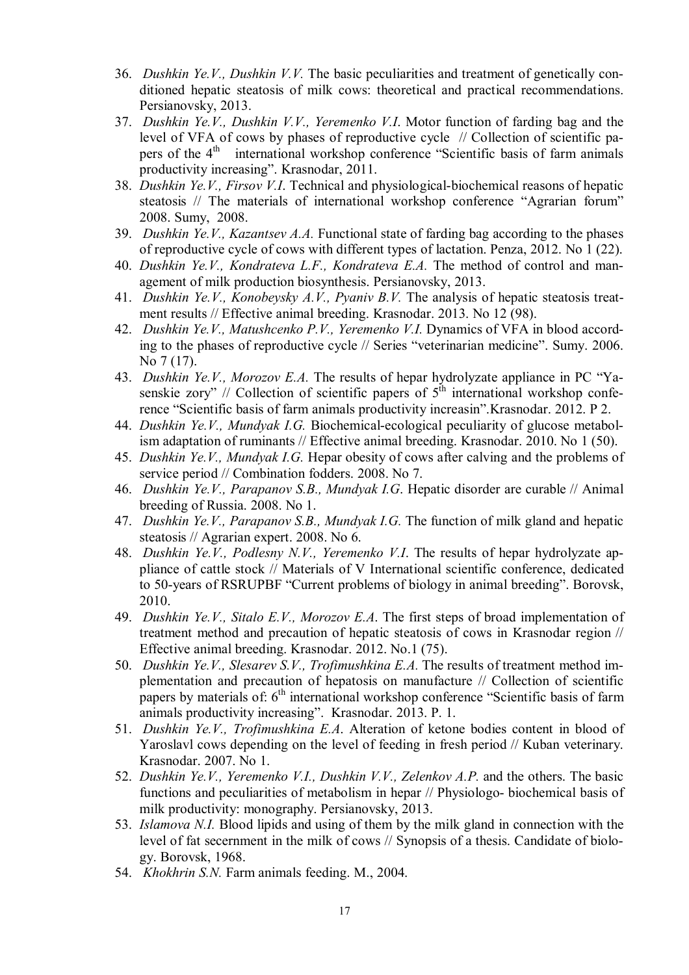- 36. *Dushkin Ye.V., Dushkin V.V.* The basic peculiarities and treatment of genetically conditioned hepatic steatosis of milk cows: theoretical and practical recommendations. Persianovsky, 2013.
- 37. *Dushkin Ye.V., Dushkin V.V., Yeremenko V.I*. Motor function of farding bag and the level of VFA of cows by phases of reproductive cycle // Collection of scientific papers of the 4<sup>th</sup> international workshop conference "Scientific basis of farm animals productivity increasing". Krasnodar, 2011.
- 38. *Dushkin Ye.V., Firsov V.I*. Technical and physiological-biochemical reasons of hepatic steatosis // The materials of international workshop conference "Agrarian forum" 2008. Sumy, 2008.
- 39. *Dushkin Ye.V., Kazantsev A.A.* Functional state of farding bag according to the phases of reproductive cycle of cows with different types of lactation. Penza, 2012. No 1 (22).
- 40. *Dushkin Ye.V., Kondrateva L.F., Kondrateva E.A.* The method of control and management of milk production biosynthesis. Persianovsky, 2013.
- 41. *Dushkin Ye.V., Konobeysky A.V., Pyaniv B.V.* The analysis of hepatic steatosis treatment results // Effective animal breeding. Krasnodar. 2013. No 12 (98).
- 42. *Dushkin Ye.V., Matushcenko P.V., Yeremenko V.I.* Dynamics of VFA in blood according to the phases of reproductive cycle // Series "veterinarian medicine". Sumy. 2006. No 7 (17).
- 43. *Dushkin Ye.V., Morozov E.A.* The results of hepar hydrolyzate appliance in PC "Yasenskie zory" // Collection of scientific papers of  $5<sup>th</sup>$  international workshop conference "Scientific basis of farm animals productivity increasin".Krasnodar. 2012. P 2.
- 44. *Dushkin Ye.V., Mundyak I.G.* Biochemical-ecological peculiarity of glucose metabolism adaptation of ruminants // Effective animal breeding. Krasnodar. 2010. No 1 (50).
- 45. *Dushkin Ye.V., Mundyak I.G.* Hepar obesity of cows after calving and the problems of service period // Combination fodders. 2008. No 7.
- 46. *Dushkin Ye.V., Parapanov S.B., Mundyak I.G*. Hepatic disorder are curable // Animal breeding of Russia. 2008. No 1.
- 47. *Dushkin Ye.V., Parapanov S.B., Mundyak I.G.* The function of milk gland and hepatic steatosis // Agrarian expert. 2008. No 6.
- 48. *Dushkin Ye.V., Podlesny N.V., Yeremenko V.I*. The results of hepar hydrolyzate appliance of cattle stock // Materials of V International scientific conference, dedicated to 50-years of RSRUPBF "Current problems of biology in animal breeding". Borovsk, 2010.
- 49. *Dushkin Ye.V., Sitalo E.V., Morozov E.A*. The first steps of broad implementation of treatment method and precaution of hepatic steatosis of cows in Krasnodar region // Effective animal breeding. Krasnodar. 2012. No.1 (75).
- 50. *Dushkin Ye.V., Slesarev S.V., Trofimushkina E.A.* The results of treatment method implementation and precaution of hepatosis on manufacture // Collection of scientific papers by materials of:  $6<sup>th</sup>$  international workshop conference "Scientific basis of farm animals productivity increasing". Krasnodar. 2013. P. 1.
- 51. *Dushkin Ye.V., Trofimushkina E.A*. Alteration of ketone bodies content in blood of Yaroslavl cows depending on the level of feeding in fresh period // Kuban veterinary. Krasnodar. 2007. No 1.
- 52. *Dushkin Ye.V., Yeremenko V.I., Dushkin V.V., Zelenkov A.P.* and the others. The basic functions and peculiarities of metabolism in hepar // Physiologo- biochemical basis of milk productivity: monography. Persianovsky, 2013.
- 53. *Islamova N.I.* Blood lipids and using of them by the milk gland in connection with the level of fat secernment in the milk of cows // Synopsis of a thesis. Candidate of biology. Borovsk, 1968.
- 54. *Khokhrin S.N.* Farm animals feeding. M., 2004.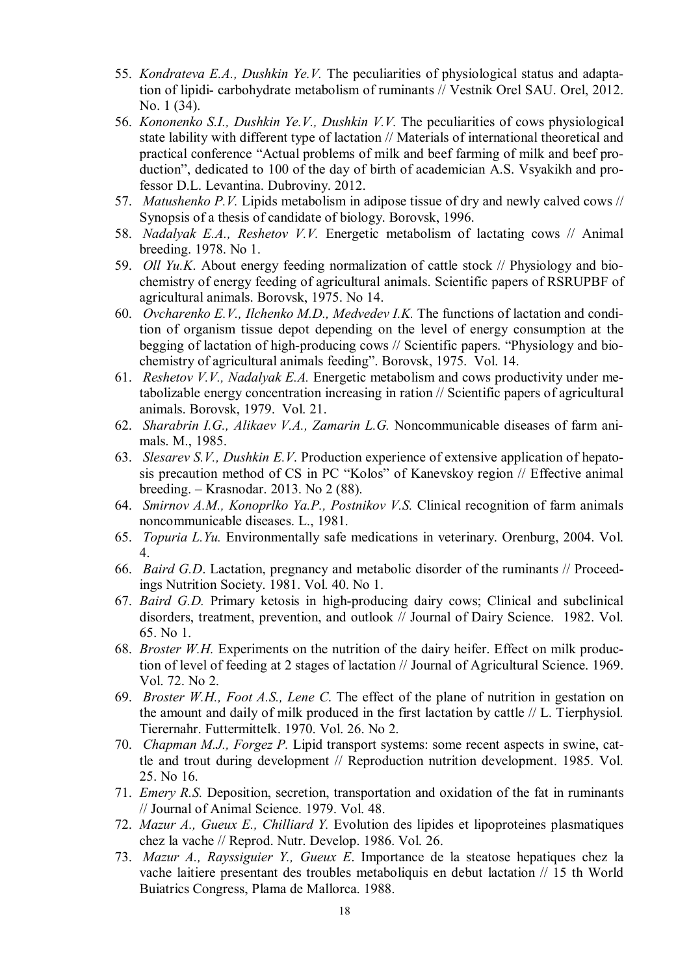- 55. *Kondrateva E.A., Dushkin Ye.V.* The peculiarities of physiological status and adaptation of lipidi- carbohydrate metabolism of ruminants // Vestnik Orel SAU. Orel, 2012. No. 1 (34).
- 56. *Kononenko S.I., Dushkin Ye.V., Dushkin V.V.* The peculiarities of cows physiological state lability with different type of lactation // Materials of international theoretical and practical conference "Actual problems of milk and beef farming of milk and beef production", dedicated to 100 of the day of birth of academician A.S. Vsyakikh and professor D.L. Levantina. Dubroviny. 2012.
- 57. *Matushenko P.V.* Lipids metabolism in adipose tissue of dry and newly calved cows // Synopsis of a thesis of candidate of biology. Borovsk, 1996.
- 58. *Nadalyak E.A., Reshetov V.V.* Energetic metabolism of lactating cows // Animal breeding. 1978. No 1.
- 59. *Oll Yu.K*. About energy feeding normalization of cattle stock // Physiology and biochemistry of energy feeding of agricultural animals. Scientific papers of RSRUPBF of agricultural animals. Borovsk, 1975. No 14.
- 60. *Ovcharenko E.V., Ilchenko M.D., Medvedev I.K.* The functions of lactation and condition of organism tissue depot depending on the level of energy consumption at the begging of lactation of high-producing cows // Scientific papers. "Physiology and biochemistry of agricultural animals feeding". Borovsk, 1975. Vol. 14.
- 61. *Reshetov V.V., Nadalyak E.A.* Energetic metabolism and cows productivity under metabolizable energy concentration increasing in ration // Scientific papers of agricultural animals. Borovsk, 1979. Vol. 21.
- 62. *Sharabrin I.G., Alikaev V.A., Zamarin L.G.* Noncommunicable diseases of farm animals. M., 1985.
- 63. *Slesarev S.V., Dushkin E.V*. Production experience of extensive application of hepatosis precaution method of CS in PC "Kolos" of Kanevskoy region // Effective animal breeding. – Krasnodar. 2013. No 2 (88).
- 64. *Smirnov A.M., Konoprlko Ya.P., Postnikov V.S.* Clinical recognition of farm animals noncommunicable diseases. L., 1981.
- 65. *Topuria L.Yu.* Environmentally safe medications in veterinary. Orenburg, 2004. Vol. 4.
- 66. *Baird G.D*. Lactation, pregnancy and metabolic disorder of the ruminants // Proceedings Nutrition Society. 1981. Vol. 40. No 1.
- 67. *Baird G.D.* Primary ketosis in high-producing dairy cows; Clinical and subclinical disorders, treatment, prevention, and outlook // Journal of Dairy Science. 1982. Vol. 65. No 1.
- 68. *Broster W.H.* Experiments on the nutrition of the dairy heifer. Effect on milk production of level of feeding at 2 stages of lactation // Journal of Agricultural Science. 1969. Vol. 72. No 2.
- 69. *Broster W.H., Foot A.S., Lene C*. The effect of the plane of nutrition in gestation on the amount and daily of milk produced in the first lactation by cattle // L. Tierphysiol. Tierernahr. Futtermittelk. 1970. Vol. 26. No 2.
- 70. *Chapman M.J., Forgez P.* Lipid transport systems: some recent aspects in swine, cattle and trout during development // Reproduction nutrition development. 1985. Vol. 25. No 16.
- 71. *Emery R.S.* Deposition, secretion, transportation and oxidation of the fat in ruminants // Journal of Animal Science. 1979. Vol. 48.
- 72. *Mazur A., Gueux E., Chilliard Y.* Evolution des lipides et lipoproteines plasmatiques chez la vache // Reprod. Nutr. Develop. 1986. Vol. 26.
- 73. *Mazur A., Rayssiguier Y., Gueux E*. Importance de la steatose hepatiques chez la vache laitiere presentant des troubles metaboliquis en debut lactation // 15 th World Buiatrics Congress, Plama de Mallorca. 1988.